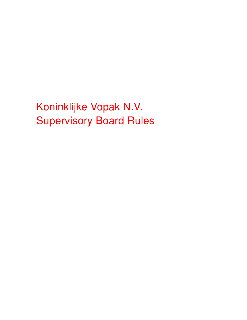Koninklijke Vopak N.V. Supervisory Board Rules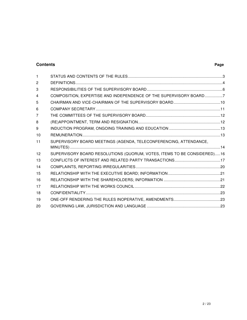# **Contents Page**

| 1            |                                                                         |  |
|--------------|-------------------------------------------------------------------------|--|
| $\mathbf{2}$ |                                                                         |  |
| 3            |                                                                         |  |
| 4            | COMPOSITION, EXPERTISE AND INDEPENDENCE OF THE SUPERVISORY BOARD7       |  |
| 5            |                                                                         |  |
| 6            |                                                                         |  |
| 7            |                                                                         |  |
| 8            |                                                                         |  |
| 9            |                                                                         |  |
| 10           |                                                                         |  |
| 11           | SUPERVISORY BOARD MEETINGS (AGENDA, TELECONFERENCING, ATTENDANCE,       |  |
|              |                                                                         |  |
| 12           | SUPERVISORY BOARD RESOLUTIONS (QUORUM, VOTES, ITEMS TO BE CONSIDERED)16 |  |
| 13           |                                                                         |  |
| 14           |                                                                         |  |
| 15           |                                                                         |  |
| 16           |                                                                         |  |
| 17           |                                                                         |  |
| 18           |                                                                         |  |
| 19           |                                                                         |  |
| 20           |                                                                         |  |
|              |                                                                         |  |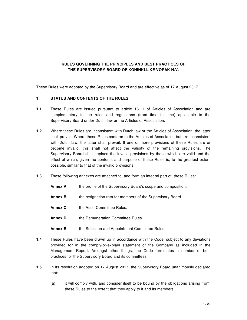# **RULES GOVERNING THE PRINCIPLES AND BEST PRACTICES OF THE SUPERVISORY BOARD OF KONINKLIJKE VOPAK N.V.**

These Rules were adopted by the Supervisory Board and are effective as of 17 August 2017.

# **1 STATUS AND CONTENTS OF THE RULES**

- **1.1** These Rules are issued pursuant to article 16.11 of Articles of Association and are complementary to the rules and regulations (from time to time) applicable to the Supervisory Board under Dutch law or the Articles of Association.
- **1.2** Where these Rules are inconsistent with Dutch law or the Articles of Association, the latter shall prevail. Where these Rules conform to the Articles of Association but are inconsistent with Dutch law, the latter shall prevail. If one or more provisions of these Rules are or become invalid, this shall not affect the validity of the remaining provisions. The Supervisory Board shall replace the invalid provisions by those which are valid and the effect of which, given the contents and purpose of these Rules is, to the greatest extent possible, similar to that of the invalid provisions.
- **1.3** These following annexes are attached to, and form an integral part of, these Rules:
	- **Annex A:** the profile of the Supervisory Board's scope and composition.
	- **Annex B:** the resignation rota for members of the Supervisory Board.
	- **Annex C:** the Audit Committee Rules.
	- **Annex D:** the Remuneration Committee Rules.
	- Annex E: the Selection and Appointment Committee Rules.
- **1.4** These Rules have been drawn up in accordance with the Code, subject to any deviations provided for in the comply-or-explain statement of the Company as included in the Management Report. Amongst other things, the Code formulates a number of best practices for the Supervisory Board and its committees.
- **1.5** In its resolution adopted on 17 August 2017, the Supervisory Board unanimously declared that:
	- (a) it will comply with, and consider itself to be bound by the obligations arising from, these Rules to the extent that they apply to it and its members;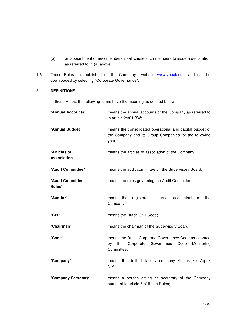- (b) on appointment of new members it will cause such members to issue a declaration as referred to in (a) above.
- **1.6** These Rules are published on the Company's website **www.vopak.com** and can be downloaded by selecting "Corporate Governance".

# **2 DEFINITIONS**

In these Rules, the following terms have the meaning as defined below:

| "Annual Accounts"            | means the annual accounts of the Company as referred to<br>in article 2:361 BW;                                               |
|------------------------------|-------------------------------------------------------------------------------------------------------------------------------|
| "Annual Budget"              | means the consolidated operational and capital budget of<br>the Company and its Group Companies for the following<br>year;    |
| "Articles of<br>Association" | means the articles of association of the Company;                                                                             |
| "Audit Committee"            | means the audit committee o f the Supervisory Board;                                                                          |
| "Audit Committee<br>Rules"   | means the rules governing the Audit Committee;                                                                                |
| "Auditor"                    | means the<br>registered<br>external<br>accountant<br>the<br>οf<br>Company;                                                    |
| "BW"                         | means the Dutch Civil Code;                                                                                                   |
| "Chairman"                   | means the chairman of the Supervisory Board;                                                                                  |
| "Code"                       | means the Dutch Corporate Governance Code as adopted<br>by the<br>Corporate<br>Governance<br>Monitoring<br>Code<br>Committee; |
| "Company"                    | means the limited liability company Koninklijke Vopak<br>N.V.;                                                                |
| "Company Secretary"          | means a person acting as secretary of the Company<br>pursuant to article 6 of these Rules;                                    |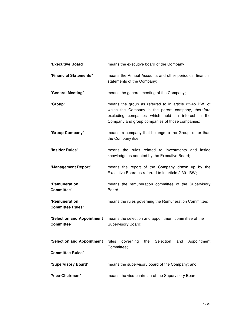| "Executive Board"                                     | means the executive board of the Company;                                                                                                                                                                            |
|-------------------------------------------------------|----------------------------------------------------------------------------------------------------------------------------------------------------------------------------------------------------------------------|
| "Financial Statements"                                | means the Annual Accounts and other periodical financial<br>statements of the Company;                                                                                                                               |
| "General Meeting"                                     | means the general meeting of the Company;                                                                                                                                                                            |
| "Group"                                               | means the group as referred to in article 2:24b BW, of<br>which the Company is the parent company, therefore<br>excluding companies which hold an interest in the<br>Company and group companies of those companies; |
| "Group Company"                                       | means a company that belongs to the Group, other than<br>the Company itself;                                                                                                                                         |
| "Insider Rules"                                       | means the rules related to investments and inside<br>knowledge as adopted by the Executive Board;                                                                                                                    |
| "Management Report"                                   | means the report of the Company drawn up by the<br>Executive Board as referred to in article 2:391 BW;                                                                                                               |
| "Remuneration<br><b>Committee"</b>                    | means the remuneration committee of the Supervisory<br>Board;                                                                                                                                                        |
| "Remuneration<br><b>Committee Rules"</b>              | means the rules governing the Remuneration Committee;                                                                                                                                                                |
| "Selection and Appointment<br><b>Committee"</b>       | means the selection and appointment committee of the<br>Supervisory Board;                                                                                                                                           |
| "Selection and Appointment<br><b>Committee Rules"</b> | Selection<br>Appointment<br>rules<br>governing<br>the<br>and<br>Committee;                                                                                                                                           |
| "Supervisory Board"                                   | means the supervisory board of the Company; and                                                                                                                                                                      |
| "Vice-Chairman"                                       | means the vice-chairman of the Supervisory Board.                                                                                                                                                                    |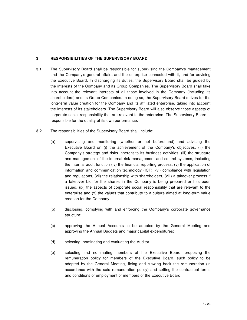#### **3 RESPONSIBILITIES OF THE SUPERVISORY BOARD**

- **3.1** The Supervisory Board shall be responsible for supervising the Company's management and the Company's general affairs and the enterprise connected with it, and for advising the Executive Board. In discharging its duties, the Supervisory Board shall be guided by the interests of the Company and its Group Companies. The Supervisory Board shall take into account the relevant interests of all those involved in the Company (including its shareholders) and its Group Companies. In doing so, the Supervisory Board strives for the long-term value creation for the Company and its affiliated enterprise, taking into account the interests of its stakeholders. The Supervisory Board will also observe those aspects of corporate social responsibility that are relevant to the enterprise. The Supervisory Board is responsible for the quality of its own performance.
- **3.2** The responsibilities of the Supervisory Board shall include:
	- (a) supervising and monitoring (whether or not beforehand) and advising the Executive Board on (i) the achievement of the Company's objectives, (ii) the Company's strategy and risks inherent to its business activities, (iii) the structure and management of the internal risk management and control systems, including the internal audit function (iv) the financial reporting process, (v) the application of information and communication technology (ICT), (vi) compliance with legislation and regulations, (vii) the relationship with shareholders, (viii) a takeover process if a takeover bid for the shares in the Company is being prepared or has been issued, (ix) the aspects of corporate social responsibility that are relevant to the enterprise and (x) the values that contribute to a culture aimed at long-term value creation for the Company.
	- (b) disclosing, complying with and enforcing the Company's corporate governance structure;
	- (c) approving the Annual Accounts to be adopted by the General Meeting and approving the Annual Budgets and major capital expenditures;
	- (d) selecting, nominating and evaluating the Auditor;
	- (e) selecting and nominating members of the Executive Board, proposing the remuneration policy for members of the Executive Board, such policy to be adopted by the General Meeting, fixing and clawing back the remuneration (in accordance with the said remuneration policy) and setting the contractual terms and conditions of employment of members of the Executive Board;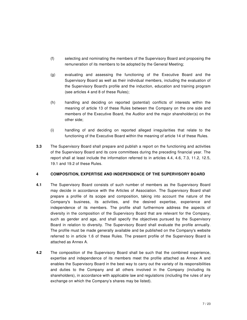- (f) selecting and nominating the members of the Supervisory Board and proposing the remuneration of its members to be adopted by the General Meeting;
- (g) evaluating and assessing the functioning of the Executive Board and the Supervisory Board as well as their individual members, including the evaluation of the Supervisory Board's profile and the induction, education and training program (see articles 4 and 8 of these Rules);
- (h) handling and deciding on reported (potential) conflicts of interests within the meaning of article 13 of these Rules between the Company on the one side and members of the Executive Board, the Auditor and the major shareholder(s) on the other side;
- (i) handling of and deciding on reported alleged irregularities that relate to the functioning of the Executive Board within the meaning of article 14 of these Rules.
- **3.3** The Supervisory Board shall prepare and publish a report on the functioning and activities of the Supervisory Board and its core committees during the preceding financial year. The report shall at least include the information referred to in articles 4.4, 4.6, 7.3, 11.2, 12.5, 19.1 and 19.2 of these Rules.

#### **4 COMPOSITION, EXPERTISE AND INDEPENDENCE OF THE SUPERVISORY BOARD**

- **4.1** The Supervisory Board consists of such number of members as the Supervisory Board may decide in accordance with the Articles of Association. The Supervisory Board shall prepare a profile of its scope and composition, taking into account the nature of the Company's business, its activities, and the desired expertise, experience and independence of its members. The profile shall furthermore address the aspects of diversity in the composition of the Supervisory Board that are relevant for the Company, such as gender and age, and shall specify the objectives pursued by the Supervisory Board in relation to diversity. The Supervisory Board shall evaluate the profile annually. The profile must be made generally available and be published on the Company's website referred to in article 1.6 of these Rules. The present profile of the Supervisory Board is attached as Annex A.
- **4.2** The composition of the Supervisory Board shall be such that the combined experience, expertise and independence of its members meet the profile attached as Annex A and enables the Supervisory Board in the best way to carry out the variety of its responsibilities and duties to the Company and all others involved in the Company (including its shareholders), in accordance with applicable law and regulations (including the rules of any exchange on which the Company's shares may be listed).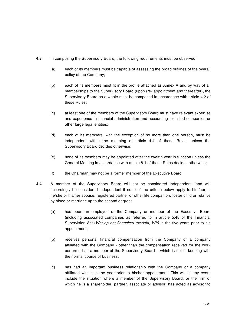- **4.3** In composing the Supervisory Board, the following requirements must be observed:
	- (a) each of its members must be capable of assessing the broad outlines of the overall policy of the Company;
	- (b) each of its members must fit in the profile attached as Annex A and by way of all memberships to the Supervisory Board (upon (re-)appointment and thereafter), the Supervisory Board as a whole must be composed in accordance with article 4.2 of these Rules;
	- (c) at least one of the members of the Supervisory Board must have relevant expertise and experience in financial administration and accounting for listed companies or other large legal entities;
	- (d) each of its members, with the exception of no more than one person, must be independent within the meaning of article 4.4 of these Rules, unless the Supervisory Board decides otherwise;
	- (e) none of its members may be appointed after the twelfth year in function unless the General Meeting in accordance with article 8.1 of these Rules decides otherwise;
	- (f) the Chairman may not be a former member of the Executive Board.
- **4.4** A member of the Supervisory Board will not be considered independent (and will accordingly be considered independent if none of the criteria below apply to him/her) if he/she or his/her spouse, registered partner or other life companion, foster child or relative by blood or marriage up to the second degree:
	- (a) has been an employee of the Company or member of the Executive Board (including associated companies as referred to in article 5:48 of the Financial Supervision Act (Wet op het financieel toezicht; Wft) in the five years prior to his appointment;
	- (b) receives personal financial compensation from the Company or a company affiliated with the Company - other than the compensation received for the work performed as a member of the Supervisory Board – which is not in keeping with the normal course of business;
	- (c) has had an important business relationship with the Company or a company affiliated with it in the year prior to his/her appointment. This will in any event include the situation where a member of the Supervisory Board, or the firm of which he is a shareholder, partner, associate or advisor, has acted as advisor to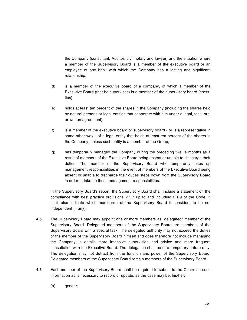the Company (consultant, Auditor, civil notary and lawyer) and the situation where a member of the Supervisory Board is a member of the executive board or an employee of any bank with which the Company has a lasting and significant relationship;

- (d) is a member of the executive board of a company, of which a member of the Executive Board (that he supervises) is a member of the supervisory board (crossties);
- (e) holds at least ten percent of the shares in the Company (including the shares held by natural persons or legal entities that cooperate with him under a legal, tacit, oral or written agreement);
- (f) is a member of the executive board or supervisory board or is a representative in some other way - of a legal entity that holds at least ten percent of the shares in the Company, unless such entity is a member of the Group;
- (g) has temporarily managed the Company during the preceding twelve months as a result of members of the Executive Board being absent or unable to discharge their duties. The member of the Supervisory Board who temporarily takes up management responsibilities in the event of members of the Executive Board being absent or unable to discharge their duties steps down from the Supervisory Board in order to take up these management responsibilities.

In the Supervisory Board's report, the Supervisory Board shall include a statement on the compliance with best practice provisions 2.1.7 up to and including 2.1.9 of the Code. It shall also indicate which member(s) of the Supervisory Board it considers to be not independent (if any).

- **4.5** The Supervisory Board may appoint one or more members as "delegated" member of the Supervisory Board. Delegated members of the Supervisory Board are members of the Supervisory Board with a special task. The delegated authority may not exceed the duties of the member of the Supervisory Board himself and does therefore not include managing the Company; it entails more intensive supervision and advice and more frequent consultation with the Executive Board. The delegation shall be of a temporary nature only. The delegation may not detract from the function and power of the Supervisory Board. Delegated members of the Supervisory Board remain members of the Supervisory Board.
- **4.6** Each member of the Supervisory Board shall be required to submit to the Chairman such information as is necessary to record or update, as the case may be, his/her:
	- (a) gender;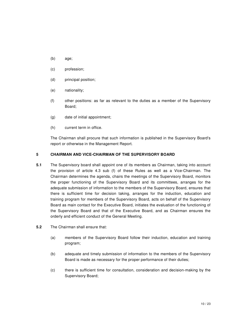- (b) age;
- (c) profession;
- (d) principal position;
- (e) nationality;
- (f) other positions: as far as relevant to the duties as a member of the Supervisory Board;
- (g) date of initial appointment;
- (h) current term in office.

The Chairman shall procure that such information is published in the Supervisory Board's report or otherwise in the Management Report.

# **5 CHAIRMAN AND VICE-CHAIRMAN OF THE SUPERVISORY BOARD**

- **5.1** The Supervisory board shall appoint one of its members as Chairman, taking into account the provision of article 4.3 sub (f) of these Rules as well as a Vice-Chairman. The Chairman determines the agenda, chairs the meetings of the Supervisory Board, monitors the proper functioning of the Supervisory Board and its committees, arranges for the adequate submission of information to the members of the Supervisory Board, ensures that there is sufficient time for decision taking, arranges for the induction, education and training program for members of the Supervisory Board, acts on behalf of the Supervisory Board as main contact for the Executive Board, initiates the evaluation of the functioning of the Supervisory Board and that of the Executive Board, and as Chairman ensures the orderly and efficient conduct of the General Meeting.
- **5.2** The Chairman shall ensure that:
	- (a) members of the Supervisory Board follow their induction, education and training program;
	- (b) adequate and timely submission of information to the members of the Supervisory Board is made as necessary for the proper performance of their duties;
	- (c) there is sufficient time for consultation, consideration and decision-making by the Supervisory Board;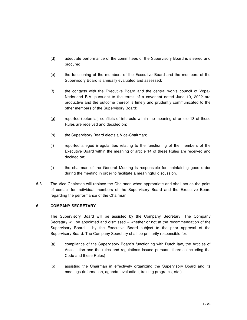- (d) adequate performance of the committees of the Supervisory Board is steered and procured;
- (e) the functioning of the members of the Executive Board and the members of the Supervisory Board is annually evaluated and assessed;
- (f) the contacts with the Executive Board and the central works council of Vopak Nederland B.V. pursuant to the terms of a covenant dated June 10, 2002 are productive and the outcome thereof is timely and prudently communicated to the other members of the Supervisory Board;
- (g) reported (potential) conflicts of interests within the meaning of article 13 of these Rules are received and decided on;
- (h) the Supervisory Board elects a Vice-Chairman;
- (i) reported alleged irregularities relating to the functioning of the members of the Executive Board within the meaning of article 14 of these Rules are received and decided on;
- (j) the chairman of the General Meeting is responsible for maintaining good order during the meeting in order to facilitate a meaningful discussion.
- **5.3** The Vice-Chairman will replace the Chairman when appropriate and shall act as the point of contact for individual members of the Supervisory Board and the Executive Board regarding the performance of the Chairman.

# **6 COMPANY SECRETARY**

The Supervisory Board will be assisted by the Company Secretary. The Company Secretary will be appointed and dismissed – whether or not at the recommendation of the Supervisory Board – by the Executive Board subject to the prior approval of the Supervisory Board. The Company Secretary shall be primarily responsible for:

- (a) compliance of the Supervisory Board's functioning with Dutch law, the Articles of Association and the rules and regulations issued pursuant thereto (including the Code and these Rules);
- (b) assisting the Chairman in effectively organizing the Supervisory Board and its meetings (information, agenda, evaluation, training programs, etc.).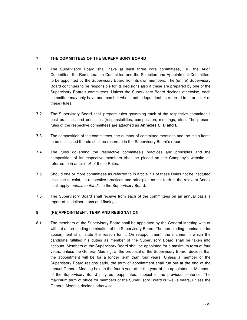# **7 THE COMMITTEES OF THE SUPERVISORY BOARD**

- **7.1** The Supervisory Board shall have at least three core committees, i.e., the Audit Committee, the Remuneration Committee and the Selection and Appointment Committee, to be appointed by the Supervisory Board from its own members. The (entire) Supervisory Board continues to be responsible for its decisions also if these are prepared by one of the Supervisory Board's committees. Unless the Supervisory Board decides otherwise, each committee may only have one member who is not independent as referred to in article 4 of these Rules.
- **7.2** The Supervisory Board shall prepare rules governing each of the respective committee's best practices and principles (responsibilities, composition, meetings, etc.). The present rules of the respective committees are attached as **Annexes C, D and E.**
- **7.3** The composition of the committees, the number of committee meetings and the main items to be discussed therein shall be recorded in the Supervisory Board's report.
- **7.4** The rules governing the respective committee's practices and principles and the composition of its respective members shall be placed on the Company's website as referred to in article 1.6 of these Rules.
- **7.5** Should one or more committees as referred to in article 7.1 of these Rules not be instituted or cease to exist, its respective practices and principles as set forth in the relevant Annex shall apply *mutatis mutandis* to the Supervisory Board.
- **7.6** The Supervisory Board shall receive from each of the committees on an annual basis a report of its deliberations and findings.

# **8 (RE)APPOINTMENT, TERM AND RESIGNATION**

**8.1** The members of the Supervisory Board shall be appointed by the General Meeting with or without a non-binding nomination of the Supervisory Board. The non-binding nomination for appointment shall state the reason for it. On reappointment, the manner in which the candidate fulfilled his duties as member of the Supervisory Board shall be taken into account. Members of the Supervisory Board shall be appointed for a maximum term of four years, unless the General Meeting, at the proposal of the Supervisory Board, decides that the appointment will be for a longer term than four years. Unless a member of the Supervisory Board resigns early, the term of appointment shall run out at the end of the annual General Meeting held in the fourth year after the year of the appointment. Members of the Supervisory Board may be reappointed, subject to the previous sentence. The maximum term of office for members of the Supervisory Board is twelve years, unless the General Meeting decides otherwise.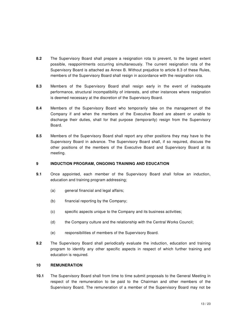- **8.2** The Supervisory Board shall prepare a resignation rota to prevent, to the largest extent possible, reappointments occurring simultaneously. The current resignation rota of the Supervisory Board is attached as Annex B. Without prejudice to article 8.3 of these Rules, members of the Supervisory Board shall resign in accordance with the resignation rota.
- **8.3** Members of the Supervisory Board shall resign early in the event of inadequate performance, structural incompatibility of interests, and other instances where resignation is deemed necessary at the discretion of the Supervisory Board.
- **8.4** Members of the Supervisory Board who temporarily take on the management of the Company if and when the members of the Executive Board are absent or unable to discharge their duties, shall for that purpose (temporarily) resign from the Supervisory Board.
- **8.5** Members of the Supervisory Board shall report any other positions they may have to the Supervisory Board in advance. The Supervisory Board shall, if so required, discuss the other positions of the members of the Executive Board and Supervisory Board at its meeting.

#### **9 INDUCTION PROGRAM, ONGOING TRAINING AND EDUCATION**

- **9.1** Once appointed, each member of the Supervisory Board shall follow an induction, education and training program addressing;
	- (a) general financial and legal affairs;
	- (b) financial reporting by the Company;
	- (c) specific aspects unique to the Company and its business activities;
	- (d) the Company culture and the relationship with the Central Works Council;
	- (e) responsibilities of members of the Supervisory Board.
- **9.2** The Supervisory Board shall periodically evaluate the induction, education and training program to identify any other specific aspects in respect of which further training and education is required.

#### **10 REMUNERATION**

**10.1** The Supervisory Board shall from time to time submit proposals to the General Meeting in respect of the remuneration to be paid to the Chairman and other members of the Supervisory Board. The remuneration of a member of the Supervisory Board may not be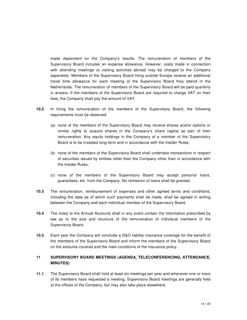made dependent on the Company's results. The remuneration of members of the Supervisory Board includes an expense allowance. However, costs made in connection with attending meetings or visiting activities abroad may be charged to the Company separately. Members of the Supervisory Board living outside Europe receive an additional travel time allowance for each meeting of the Supervisory Board they attend in the Netherlands. The remuneration of members of the Supervisory Board will be paid quarterly in arrears. If the members of the Supervisory Board are required to charge VAT on their fees, the Company shall pay the amount of VAT.

- **10.2** In fixing the remuneration of the members of the Supervisory Board, the following requirements must be observed:
	- (a) none of the members of the Supervisory Board may receive shares and/or options or similar rights to acquire shares in the Company's share capital as part of their remuneration. Any equity holdings in the Company of a member of the Supervisory Board is to be invested long-term and in accordance with the Insider Rules;
	- (b) none of the members of the Supervisory Board shall undertake transactions in respect of securities issued by entities other than the Company other than in accordance with the Insider Rules;
	- (c) none of the members of the Supervisory Board may accept personal loans, guarantees, etc. from the Company. No remission of loans shall be granted.
- **10.3** The remuneration, reimbursement of expenses and other agreed terms and conditions, including the date as of which such payments shall be made, shall be agreed in writing between the Company and each individual member of the Supervisory Board.
- **10.4** The notes to the Annual Accounts shall in any event contain the information prescribed by law as to the size and structure of the remuneration of individual members of the Supervisory Board.
- **10.5** Each year the Company will conclude a D&O liability insurance coverage for the benefit of the members of the Supervisory Board and inform the members of the Supervisory Board on the amounts covered and the main conditions of the insurance policy.

# **11 SUPERVISORY BOARD MEETINGS (AGENDA, TELECONFERENCING, ATTENDANCE, MINUTES)**

**11.1** The Supervisory Board shall hold at least six meetings per year and whenever one or more of its members have requested a meeting. Supervisory Board meetings are generally held at the offices of the Company, but may also take place elsewhere.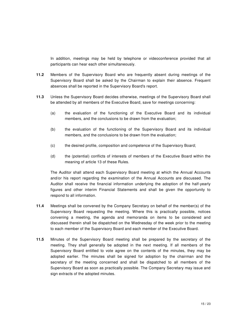In addition, meetings may be held by telephone or videoconference provided that all participants can hear each other simultaneously.

- **11.2** Members of the Supervisory Board who are frequently absent during meetings of the Supervisory Board shall be asked by the Chairman to explain their absence. Frequent absences shall be reported in the Supervisory Board's report.
- **11.3** Unless the Supervisory Board decides otherwise, meetings of the Supervisory Board shall be attended by all members of the Executive Board, save for meetings concerning:
	- (a) the evaluation of the functioning of the Executive Board and its individual members, and the conclusions to be drawn from the evaluation;
	- (b) the evaluation of the functioning of the Supervisory Board and its individual members, and the conclusions to be drawn from the evaluation;
	- (c) the desired profile, composition and competence of the Supervisory Board;
	- (d) the (potential) conflicts of interests of members of the Executive Board within the meaning of article 13 of these Rules.

The Auditor shall attend each Supervisory Board meeting at which the Annual Accounts and/or his report regarding the examination of the Annual Accounts are discussed. The Auditor shall receive the financial information underlying the adoption of the half-yearly figures and other interim Financial Statements and shall be given the opportunity to respond to all information.

- **11.4** Meetings shall be convened by the Company Secretary on behalf of the member(s) of the Supervisory Board requesting the meeting. Where this is practically possible, notices convening a meeting, the agenda and memoranda on items to be considered and discussed therein shall be dispatched on the Wednesday of the week prior to the meeting to each member of the Supervisory Board and each member of the Executive Board.
- **11.5** Minutes of the Supervisory Board meeting shall be prepared by the secretary of the meeting. They shall generally be adopted in the next meeting. If all members of the Supervisory Board entitled to vote agree on the contents of the minutes, they may be adopted earlier. The minutes shall be signed for adoption by the chairman and the secretary of the meeting concerned and shall be dispatched to all members of the Supervisory Board as soon as practically possible. The Company Secretary may issue and sign extracts of the adopted minutes.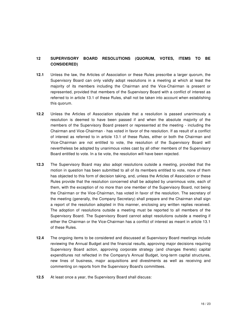# **12 SUPERVISORY BOARD RESOLUTIONS (QUORUM, VOTES, ITEMS TO BE CONSIDERED)**

- **12.1** Unless the law, the Articles of Association or these Rules prescribe a larger quorum, the Supervisory Board can only validly adopt resolutions in a meeting at which at least the majority of its members including the Chairman and the Vice-Chairman is present or represented, provided that members of the Supervisory Board with a conflict of interest as referred to in article 13.1 of these Rules, shall not be taken into account when establishing this quorum.
- **12.2** Unless the Articles of Association stipulate that a resolution is passed unanimously a resolution is deemed to have been passed if and when the absolute majority of the members of the Supervisory Board present or represented at the meeting - including the Chairman and Vice-Chairman - has voted in favor of the resolution. If as result of a conflict of interest as referred to in article 13.1 of these Rules, either or both the Chairman and Vice-Chairman are not entitled to vote, the resolution of the Supervisory Board will nevertheless be adopted by unanimous votes cast by all other members of the Supervisory Board entitled to vote. In a tie vote, the resolution will have been rejected.
- **12.3** The Supervisory Board may also adopt resolutions outside a meeting, provided that the motion in question has been submitted to all of its members entitled to vote, none of them has objected to this form of decision taking, and, unless the Articles of Association or these Rules provide that the resolution concerned shall be adopted by unanimous vote, each of them, with the exception of no more than one member of the Supervisory Board, not being the Chairman or the Vice-Chairman, has voted in favor of the resolution. The secretary of the meeting (generally, the Company Secretary) shall prepare and the Chairman shall sign a report of the resolution adopted in this manner, enclosing any written replies received. The adoption of resolutions outside a meeting must be reported to all members of the Supervisory Board. The Supervisory Board cannot adopt resolutions outside a meeting if either the Chairman or the Vice-Chairman has a conflict of interest as meant in article 13.1 of these Rules.
- **12.4** The ongoing items to be considered and discussed at Supervisory Board meetings include reviewing the Annual Budget and the financial results, approving major decisions requiring Supervisory Board action, approving corporate strategy (and changes thereto) capital expenditures not reflected in the Company's Annual Budget, long-term capital structures, new lines of business, major acquisitions and divestments as well as receiving and commenting on reports from the Supervisory Board's committees.
- **12.5** At least once a year, the Supervisory Board shall discuss: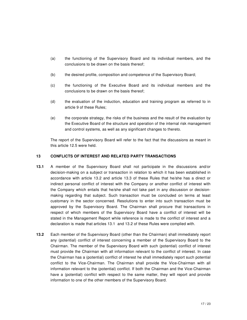- (a) the functioning of the Supervisory Board and its individual members, and the conclusions to be drawn on the basis thereof;
- (b) the desired profile, composition and competence of the Supervisory Board;
- (c) the functioning of the Executive Board and its individual members and the conclusions to be drawn on the basis thereof;
- (d) the evaluation of the induction, education and training program as referred to in article 9 of these Rules;
- (e) the corporate strategy, the risks of the business and the result of the evaluation by the Executive Board of the structure and operation of the internal risk management and control systems, as well as any significant changes to thereto.

The report of the Supervisory Board will refer to the fact that the discussions as meant in this article 12.5 were held.

# **13 CONFLICTS OF INTEREST AND RELATED PARTY TRANSACTIONS**

- **13.1** A member of the Supervisory Board shall not participate in the discussions and/or decision-making on a subject or transaction in relation to which it has been established in accordance with article 13.2 and article 13.3 of these Rules that he/she has a direct or indirect personal conflict of interest with the Company or another conflict of interest with the Company which entails that he/she shall not take part in any discussion or decisionmaking regarding that subject. Such transaction must be concluded on terms at least customary in the sector concerned. Resolutions to enter into such transaction must be approved by the Supervisory Board. The Chairman shall procure that transactions in respect of which members of the Supervisory Board have a conflict of interest will be stated in the Management Report while reference is made to the conflict of interest and a declaration is made that articles 13.1 and 13.2 of these Rules were complied with.
- **13.2** Each member of the Supervisory Board (other than the Chairman) shall immediately report any (potential) conflict of interest concerning a member of the Supervisory Board to the Chairman. The member of the Supervisory Board with such (potential) conflict of interest must provide the Chairman with all information relevant to the conflict of interest. In case the Chairman has a (potential) conflict of interest he shall immediately report such potential conflict to the Vice-Chairman. The Chairman shall provide the Vice-Chairman with all information relevant to the (potential) conflict. If both the Chairman and the Vice-Chairman have a (potential) conflict with respect to the same matter, they will report and provide information to one of the other members of the Supervisory Board.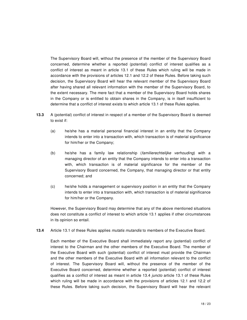The Supervisory Board will, without the presence of the member of the Supervisory Board concerned, determine whether a reported (potential) conflict of interest qualifies as a conflict of interest as meant in article 13.1 of these Rules which ruling will be made in accordance with the provisions of articles 12.1 and 12.2 of these Rules. Before taking such decision, the Supervisory Board will hear the relevant member of the Supervisory Board after having shared all relevant information with the member of the Supervisory Board, to the extent necessary. The mere fact that a member of the Supervisory Board holds shares in the Company or is entitled to obtain shares in the Company, is in itself insufficient to determine that a conflict of interest exists to which article 13.1 of these Rules applies.

- **13.3** A (potential) conflict of interest in respect of a member of the Supervisory Board is deemed to exist if:
	- (a) he/she has a material personal financial interest in an entity that the Company intends to enter into a transaction with, which transaction is of material significance for him/her or the Company;
	- (b) he/she has a family law relationship (familierechtelijke verhouding) with a managing director of an entity that the Company intends to enter into a transaction with, which transaction is of material significance for the member of the Supervisory Board concerned, the Company, that managing director or that entity concerned; and
	- (c) he/she holds a management or supervisory position in an entity that the Company intends to enter into a transaction with, which transaction is of material significance for him/her or the Company.

However, the Supervisory Board may determine that any of the above mentioned situations does not constitute a conflict of interest to which article 13.1 applies if other circumstances in its opinion so entail.

**13.4** Article 13.1 of these Rules applies mutatis mutandis to members of the Executive Board.

Each member of the Executive Board shall immediately report any (potential) conflict of interest to the Chairman and the other members of the Executive Board. The member of the Executive Board with such (potential) conflict of interest must provide the Chairman and the other members of the Executive Board with all information relevant to the conflict of interest. The Supervisory Board will, without the presence of the member of the Executive Board concerned, determine whether a reported (potential) conflict of interest qualifies as a conflict of interest as meant in article 13.4 juncto article 13.1 of these Rules which ruling will be made in accordance with the provisions of articles 12.1 and 12.2 of these Rules. Before taking such decision, the Supervisory Board will hear the relevant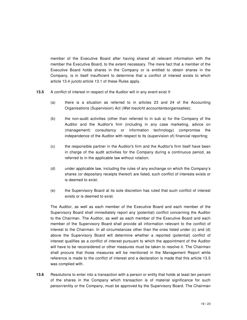member of the Executive Board after having shared all relevant information with the member the Executive Board, to the extent necessary. The mere fact that a member of the Executive Board holds shares in the Company or is entitled to obtain shares in the Company, is in itself insufficient to determine that a conflict of interest exists to which article 13.4 juncto article 13.1 of these Rules apply.

- **13.5** A conflict of interest in respect of the Auditor will in any event exist if:
	- (a) there is a situation as referred to in articles 23 and 24 of the Accounting Organisations (Supervision) Act (Wet toezicht accountantsorganisaties);
	- (b) the non-audit activities (other than referred to in sub a) for the Company of the Auditor and the Auditor's firm (including in any case marketing, advice on (management) consultancy or information technology) compromise the independence of the Auditor with respect to its (supervision of) financial reporting;
	- (c) the responsible partner in the Auditor's firm and the Auditor's firm itself have been in charge of the audit activities for the Company during a continuous period, as referred to in the applicable law without rotation;
	- (d) under applicable law, including the rules of any exchange on which the Company's shares (or depositary receipts thereof) are listed, such conflict of interests exists or is deemed to exist;
	- (e) the Supervisory Board at its sole discretion has ruled that such conflict of interest exists or is deemed to exist.

The Auditor, as well as each member of the Executive Board and each member of the Supervisory Board shall immediately report any (potential) conflict concerning the Auditor to the Chairman. The Auditor, as well as each member of the Executive Board and each member of the Supervisory Board shall provide all information relevant to the conflict of interest to the Chairman. In all circumstances other than the ones listed under (c) and (d) above the Supervisory Board will determine whether a reported (potential) conflict of interest qualifies as a conflict of interest pursuant to which the appointment of the Auditor will have to be reconsidered or other measures must be taken to resolve it. The Chairman shall procure that those measures will be mentioned in the Management Report while reference is made to the conflict of interest and a declaration is made that this article 13.5 was complied with.

**13.6** Resolutions to enter into a transaction with a person or entity that holds at least ten percent of the shares in the Company which transaction is of material significance for such person/entity or the Company, must be approved by the Supervisory Board. The Chairman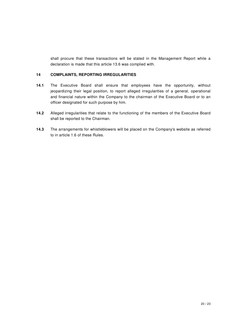shall procure that these transactions will be stated in the Management Report while a declaration is made that this article 13.6 was complied with.

# **14 COMPLAINTS, REPORTING IRREGULARITIES**

- **14.1** The Executive Board shall ensure that employees have the opportunity, without jeopardizing their legal position, to report alleged irregularities of a general, operational and financial nature within the Company to the chairman of the Executive Board or to an officer designated for such purpose by him.
- **14.2** Alleged irregularities that relate to the functioning of the members of the Executive Board shall be reported to the Chairman.
- **14.3** The arrangements for whistleblowers will be placed on the Company's website as referred to in article 1.6 of these Rules.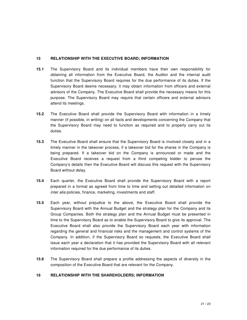#### **15 RELATIONSHIP WITH THE EXECUTIVE BOARD; INFORMATION**

- **15.1** The Supervisory Board and its individual members have their own responsibility for obtaining all information from the Executive Board, the Auditor and the internal audit function that the Supervisory Board requires for the due performance of its duties. If the Supervisory Board deems necessary, it may obtain information from officers and external advisors of the Company. The Executive Board shall provide the necessary means for this purpose. The Supervisory Board may require that certain officers and external advisors attend its meetings.
- **15.2** The Executive Board shall provide the Supervisory Board with information in a timely manner (if possible, in writing) on all facts and developments concerning the Company that the Supervisory Board may need to function as required and to properly carry out its duties.
- **15.3** The Executive Board shall ensure that the Supervisory Board is involved closely and in a timely manner in the takeover process, if a takeover bid for the shares in the Company is being prepared. If a takeover bid on the Company is announced or made and the Executive Board receives a request from a third competing bidder to peruse the Company's details then the Executive Board will discuss this request with the Supervisory Board without delay.
- **15.4** Each quarter, the Executive Board shall provide the Supervisory Board with a report prepared in a format as agreed from time to time and setting out detailed information on inter alia policies, finance, marketing, investments and staff.
- **15.5** Each year, without prejudice to the above, the Executive Board shall provide the Supervisory Board with the Annual Budget and the strategy plan for the Company and its Group Companies. Both the strategy plan and the Annual Budget must be presented in time to the Supervisory Board as to enable the Supervisory Board to give its approval. The Executive Board shall also provide the Supervisory Board each year with information regarding the general and financial risks and the management and control systems of the Company. In addition, if the Supervisory Board so requests, the Executive Board shall issue each year a declaration that it has provided the Supervisory Board with all relevant information required for the due performance of its duties.
- **15.6** The Supervisory Board shall prepare a profile addressing the aspects of diversity in the composition of the Executive Board that are relevant for the Company.

# **16 RELATIONSHIP WITH THE SHAREHOLDERS; INFORMATION**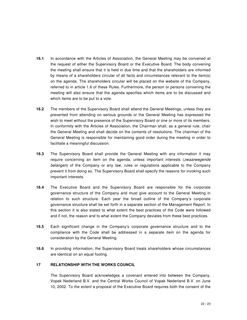- **16.1** In accordance with the Articles of Association, the General Meeting may be convened at the request of either the Supervisory Board or the Executive Board. The body convening the meeting shall ensure that it is held in due time and that the shareholders are informed by means of a shareholders circular of all facts and circumstances relevant to the item(s) on the agenda. The shareholders circular will be placed on the website of the Company, referred to in article 1.6 of these Rules. Furthermore, the person or persons convening the meeting will also ensure that the agenda specifies which items are to be discussed and which items are to be put to a vote.
- **16.2** The members of the Supervisory Board shall attend the General Meetings, unless they are prevented from attending on serious grounds or the General Meeting has expressed the wish to meet without the presence of the Supervisory Board or one or more of its members. In conformity with the Articles of Association, the Chairman shall, as a general rule, chair the General Meeting and shall decide on the contents of resolutions. The chairman of the General Meeting is responsible for maintaining good order during the meeting in order to facilitate a meaningful discussion.
- **16.3** The Supervisory Board shall provide the General Meeting with any information it may require concerning an item on the agenda, unless important interests (zwaarwegende belangen) of the Company or any law, rules or regulations applicable to the Company prevent it from doing so. The Supervisory Board shall specify the reasons for invoking such important interests.
- **16.4** The Executive Board and the Supervisory Board are responsible for the corporate governance structure of the Company and must give account to the General Meeting in relation to such structure. Each year the broad outline of the Company's corporate governance structure shall be set forth in a separate section of the Management Report. In this section it is also stated to what extent the best practices of the Code were followed and if not, the reason and to what extent the Company deviates from these best practices.
- **16.5** Each significant change in the Company's corporate governance structure and to the compliance with the Code shall be addressed in a separate item on the agenda for consideration by the General Meeting.
- **16.6** In providing information, the Supervisory Board treats shareholders whose circumstances are identical on an equal footing.

# **17 RELATIONSHIP WITH THE WORKS COUNCIL**

The Supervisory Board acknowledges a covenant entered into between the Company, Vopak Nederland B.V. and the Central Works Council of Vopak Nederland B.V. on June 10, 2002. To the extent a proposal of the Executive Board requires both the consent of the